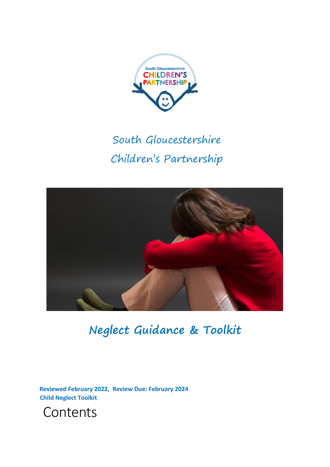

# South Gloucestershire Children's Partnership



**Neglect Guidance & Toolkit**

**Reviewed February 2022, Review Due: February 2024 Child Neglect Toolkit** 

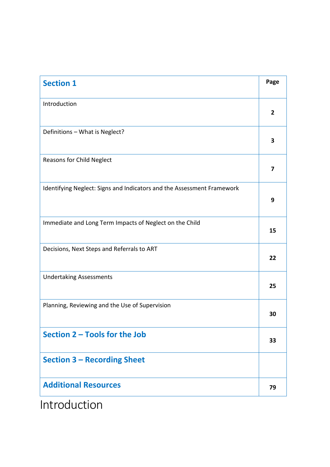| <b>Section 1</b>                                                       | Page           |
|------------------------------------------------------------------------|----------------|
| Introduction                                                           | $\overline{2}$ |
| Definitions - What is Neglect?                                         | 3              |
| Reasons for Child Neglect                                              | 7              |
| Identifying Neglect: Signs and Indicators and the Assessment Framework | 9              |
| Immediate and Long Term Impacts of Neglect on the Child                | 15             |
| Decisions, Next Steps and Referrals to ART                             | 22             |
| <b>Undertaking Assessments</b>                                         | 25             |
| Planning, Reviewing and the Use of Supervision                         | 30             |
| Section 2 - Tools for the Job                                          | 33             |
| <b>Section 3 - Recording Sheet</b>                                     |                |
| <b>Additional Resources</b>                                            | 79             |

Introduction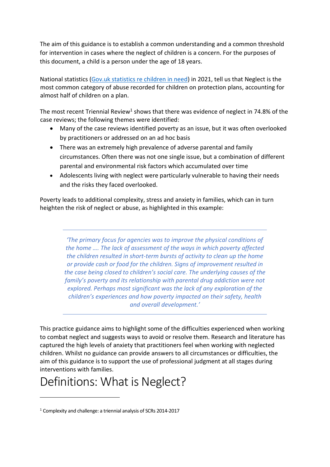The aim of this guidance is to establish a common understanding and a common threshold for intervention in cases where the neglect of children is a concern. For the purposes of this document, a child is a person under the age of 18 years.

National statistics [\(Gov.uk statistics re children in need\)](https://www.gov.uk/government/collections/statistics-children-in-need) in 2021, tell us that Neglect is the most common category of abuse recorded for children on protection plans, accounting for almost half of children on a plan.

The most recent Triennial Review<sup>1</sup> shows that there was evidence of neglect in 74.8% of the case reviews; the following themes were identified:

- Many of the case reviews identified poverty as an issue, but it was often overlooked by practitioners or addressed on an ad hoc basis
- There was an extremely high prevalence of adverse parental and family circumstances. Often there was not one single issue, but a combination of different parental and environmental risk factors which accumulated over time
- Adolescents living with neglect were particularly vulnerable to having their needs and the risks they faced overlooked.

Poverty leads to additional complexity, stress and anxiety in families, which can in turn heighten the risk of neglect or abuse, as highlighted in this example:

> *'The primary focus for agencies was to improve the physical conditions of the home …. The lack of assessment of the ways in which poverty affected the children resulted in short-term bursts of activity to clean up the home or provide cash or food for the children. Signs of improvement resulted in the case being closed to children's social care. The underlying causes of the family's poverty and its relationship with parental drug addiction were not explored. Perhaps most significant was the lack of any exploration of the children's experiences and how poverty impacted on their safety, health and overall development.'*

This practice guidance aims to highlight some of the difficulties experienced when working to combat neglect and suggests ways to avoid or resolve them. Research and literature has captured the high levels of anxiety that practitioners feel when working with neglected children. Whilst no guidance can provide answers to all circumstances or difficulties, the aim of this guidance is to support the use of professional judgment at all stages during interventions with families.

## Definitions: What is Neglect?

<sup>1</sup> Complexity and challenge: a triennial analysis of SCRs 2014-2017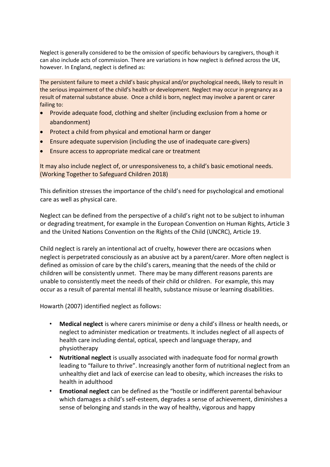Neglect is generally considered to be the omission of specific behaviours by caregivers, though it can also include acts of commission. There are variations in how neglect is defined across the UK, however. In England, neglect is defined as:

The persistent failure to meet a child's basic physical and/or psychological needs, likely to result in the serious impairment of the child's health or development. Neglect may occur in pregnancy as a result of maternal substance abuse. Once a child is born, neglect may involve a parent or carer failing to:

- Provide adequate food, clothing and shelter (including exclusion from a home or abandonment)
- Protect a child from physical and emotional harm or danger
- Ensure adequate supervision (including the use of inadequate care-givers)
- Ensure access to appropriate medical care or treatment

It may also include neglect of, or unresponsiveness to, a child's basic emotional needs. (Working Together to Safeguard Children 2018)

This definition stresses the importance of the child's need for psychological and emotional care as well as physical care.

Neglect can be defined from the perspective of a child's right not to be subject to inhuman or degrading treatment, for example in the European Convention on Human Rights, Article 3 and the United Nations Convention on the Rights of the Child (UNCRC), Article 19.

Child neglect is rarely an intentional act of cruelty, however there are occasions when neglect is perpetrated consciously as an abusive act by a parent/carer. More often neglect is defined as omission of care by the child's carers, meaning that the needs of the child or children will be consistently unmet. There may be many different reasons parents are unable to consistently meet the needs of their child or children. For example, this may occur as a result of parental mental ill health, substance misuse or learning disabilities.

Howarth (2007) identified neglect as follows:

- **Medical neglect** is where carers minimise or deny a child's illness or health needs, or neglect to administer medication or treatments. It includes neglect of all aspects of health care including dental, optical, speech and language therapy, and physiotherapy
- **Nutritional neglect** is usually associated with inadequate food for normal growth leading to "failure to thrive". Increasingly another form of nutritional neglect from an unhealthy diet and lack of exercise can lead to obesity, which increases the risks to health in adulthood
- **Emotional neglect** can be defined as the "hostile or indifferent parental behaviour which damages a child's self-esteem, degrades a sense of achievement, diminishes a sense of belonging and stands in the way of healthy, vigorous and happy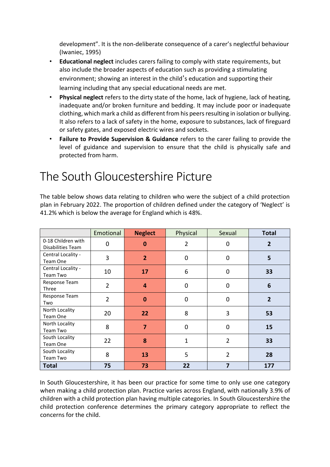development". It is the non-deliberate consequence of a carer's neglectful behaviour (Iwaniec, 1995)

- **Educational neglect** includes carers failing to comply with state requirements, but also include the broader aspects of education such as providing a stimulating environment; showing an interest in the child's education and supporting their learning including that any special educational needs are met.
- **Physical neglect** refers to the dirty state of the home, lack of hygiene, lack of heating, inadequate and/or broken furniture and bedding. It may include poor or inadequate clothing, which mark a child as different from his peers resulting in isolation or bullying. It also refers to a lack of safety in the home, exposure to substances, lack of fireguard or safety gates, and exposed electric wires and sockets.
- **Failure to Provide Supervision & Guidance** refers to the carer failing to provide the level of guidance and supervision to ensure that the child is physically safe and protected from harm.

## The South Gloucestershire Picture

The table below shows data relating to children who were the subject of a child protection plan in February 2022. The proportion of children defined under the category of 'Neglect' is 41.2% which is below the average for England which is 48%.

|                                         | Emotional      | <b>Neglect</b> | Physical       | Sexual         | <b>Total</b>   |
|-----------------------------------------|----------------|----------------|----------------|----------------|----------------|
| 0-18 Children with<br>Disabilities Team | 0              | $\bf{0}$       | 2              | 0              | $\overline{2}$ |
| Central Locality -<br>Team One          | 3              | $\overline{2}$ | $\overline{0}$ | 0              | 5              |
| Central Locality -<br>Team Two          | 10             | 17             | 6              | 0              | 33             |
| Response Team<br>Three                  | $\overline{2}$ | 4              | $\overline{0}$ | 0              | 6              |
| Response Team<br>Two                    | $\overline{2}$ | $\bf{0}$       | $\overline{0}$ | 0              | $\overline{2}$ |
| North Locality<br>Team One              | 20             | 22             | 8              | 3              | 53             |
| North Locality<br>Team Two              | 8              | 7              | 0              | 0              | 15             |
| South Locality<br>Team One              | 22             | 8              | $\mathbf{1}$   | $\overline{2}$ | 33             |
| South Locality<br>Team Two              | 8              | 13             | 5              | 2              | 28             |
| <b>Total</b>                            | 75             | 73             | 22             | 7              | 177            |

In South Gloucestershire, it has been our practice for some time to only use one category when making a child protection plan. Practice varies across England, with nationally 3.9% of children with a child protection plan having multiple categories. In South Gloucestershire the child protection conference determines the primary category appropriate to reflect the concerns for the child.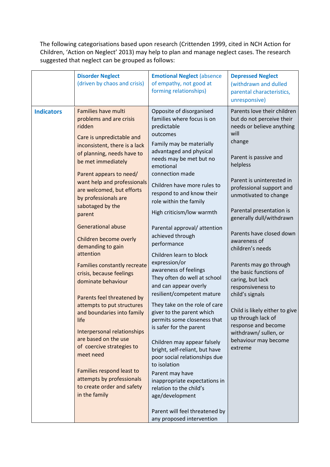The following categorisations based upon research (Crittenden 1999, cited in NCH Action for Children, 'Action on Neglect' 2013) may help to plan and manage neglect cases. The research suggested that neglect can be grouped as follows:

|                   | <b>Disorder Neglect</b><br>(driven by chaos and crisis)                                                                                                                                                                                                                                                                                                                                                                                                                                                                                                                                                                                                                                                                                                                                                        | <b>Emotional Neglect (absence)</b><br>of empathy, not good at<br>forming relationships)                                                                                                                                                                                                                                                                                                                                                                                                                                                                                                                                                                                                                                                                                                                                                                                                                                                                         | <b>Depressed Neglect</b><br>(withdrawn and dulled<br>parental characteristics,<br>unresponsive)                                                                                                                                                                                                                                                                                                                                                                                                                                                                                                                   |
|-------------------|----------------------------------------------------------------------------------------------------------------------------------------------------------------------------------------------------------------------------------------------------------------------------------------------------------------------------------------------------------------------------------------------------------------------------------------------------------------------------------------------------------------------------------------------------------------------------------------------------------------------------------------------------------------------------------------------------------------------------------------------------------------------------------------------------------------|-----------------------------------------------------------------------------------------------------------------------------------------------------------------------------------------------------------------------------------------------------------------------------------------------------------------------------------------------------------------------------------------------------------------------------------------------------------------------------------------------------------------------------------------------------------------------------------------------------------------------------------------------------------------------------------------------------------------------------------------------------------------------------------------------------------------------------------------------------------------------------------------------------------------------------------------------------------------|-------------------------------------------------------------------------------------------------------------------------------------------------------------------------------------------------------------------------------------------------------------------------------------------------------------------------------------------------------------------------------------------------------------------------------------------------------------------------------------------------------------------------------------------------------------------------------------------------------------------|
| <b>Indicators</b> | Families have multi<br>problems and are crisis<br>ridden<br>Care is unpredictable and<br>inconsistent, there is a lack<br>of planning, needs have to<br>be met immediately<br>Parent appears to need/<br>want help and professionals<br>are welcomed, but efforts<br>by professionals are<br>sabotaged by the<br>parent<br><b>Generational abuse</b><br>Children become overly<br>demanding to gain<br>attention<br>Families constantly recreate<br>crisis, because feelings<br>dominate behaviour<br>Parents feel threatened by<br>attempts to put structures<br>and boundaries into family<br>life<br>Interpersonal relationships<br>are based on the use<br>of coercive strategies to<br>meet need<br>Families respond least to<br>attempts by professionals<br>to create order and safety<br>in the family | Opposite of disorganised<br>families where focus is on<br>predictable<br>outcomes<br>Family may be materially<br>advantaged and physical<br>needs may be met but no<br>emotional<br>connection made<br>Children have more rules to<br>respond to and know their<br>role within the family<br>High criticism/low warmth<br>Parental approval/attention<br>achieved through<br>performance<br>Children learn to block<br>expression/or<br>awareness of feelings<br>They often do well at school<br>and can appear overly<br>resilient/competent mature<br>They take on the role of care<br>giver to the parent which<br>permits some closeness that<br>is safer for the parent<br>Children may appear falsely<br>bright, self-reliant, but have<br>poor social relationships due<br>to isolation<br>Parent may have<br>inappropriate expectations in<br>relation to the child's<br>age/development<br>Parent will feel threatened by<br>any proposed intervention | Parents love their children<br>but do not perceive their<br>needs or believe anything<br>will<br>change<br>Parent is passive and<br>helpless<br>Parent is uninterested in<br>professional support and<br>unmotivated to change<br>Parental presentation is<br>generally dull/withdrawn<br>Parents have closed down<br>awareness of<br>children's needs<br>Parents may go through<br>the basic functions of<br>caring, but lack<br>responsiveness to<br>child's signals<br>Child is likely either to give<br>up through lack of<br>response and become<br>withdrawn/ sullen, or<br>behaviour may become<br>extreme |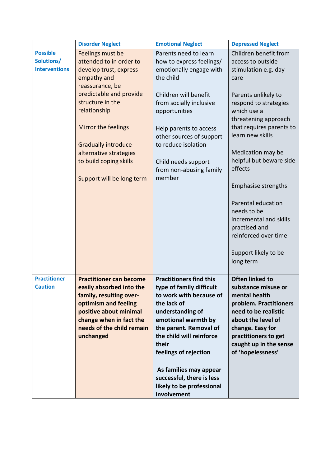|                                       | <b>Disorder Neglect</b>                                                                                                                                                                                      | <b>Emotional Neglect</b>                                                                                                                                                                                       | <b>Depressed Neglect</b>                                                                                                                                                                                                                                                                                                                                     |
|---------------------------------------|--------------------------------------------------------------------------------------------------------------------------------------------------------------------------------------------------------------|----------------------------------------------------------------------------------------------------------------------------------------------------------------------------------------------------------------|--------------------------------------------------------------------------------------------------------------------------------------------------------------------------------------------------------------------------------------------------------------------------------------------------------------------------------------------------------------|
| <b>Possible</b>                       | Feelings must be                                                                                                                                                                                             | Parents need to learn                                                                                                                                                                                          | Children benefit from                                                                                                                                                                                                                                                                                                                                        |
| Solutions/<br><b>Interventions</b>    | attended to in order to<br>develop trust, express<br>empathy and<br>reassurance, be                                                                                                                          | how to express feelings/<br>emotionally engage with<br>the child                                                                                                                                               | access to outside<br>stimulation e.g. day<br>care                                                                                                                                                                                                                                                                                                            |
|                                       | predictable and provide<br>structure in the<br>relationship<br>Mirror the feelings<br><b>Gradually introduce</b><br>alternative strategies<br>to build coping skills<br>Support will be long term            | Children will benefit<br>from socially inclusive<br>opportunities<br>Help parents to access<br>other sources of support<br>to reduce isolation<br>Child needs support<br>from non-abusing family<br>member     | Parents unlikely to<br>respond to strategies<br>which use a<br>threatening approach<br>that requires parents to<br>learn new skills<br>Medication may be<br>helpful but beware side<br>effects<br><b>Emphasise strengths</b><br>Parental education<br>needs to be<br>incremental and skills<br>practised and<br>reinforced over time<br>Support likely to be |
| <b>Practitioner</b><br><b>Caution</b> | <b>Practitioner can become</b><br>easily absorbed into the<br>family, resulting over-<br>optimism and feeling<br>positive about minimal<br>change when in fact the<br>needs of the child remain<br>unchanged | <b>Practitioners find this</b><br>type of family difficult<br>to work with because of<br>the lack of<br>understanding of<br>emotional warmth by<br>the parent. Removal of<br>the child will reinforce<br>their | long term<br><b>Often linked to</b><br>substance misuse or<br>mental health<br>problem. Practitioners<br>need to be realistic<br>about the level of<br>change. Easy for<br>practitioners to get<br>caught up in the sense                                                                                                                                    |
|                                       |                                                                                                                                                                                                              | feelings of rejection<br>As families may appear<br>successful, there is less<br>likely to be professional<br>involvement                                                                                       | of 'hopelessness'                                                                                                                                                                                                                                                                                                                                            |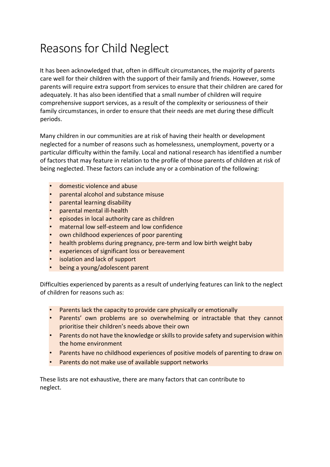## Reasons for Child Neglect

It has been acknowledged that, often in difficult circumstances, the majority of parents care well for their children with the support of their family and friends. However, some parents will require extra support from services to ensure that their children are cared for adequately. It has also been identified that a small number of children will require comprehensive support services, as a result of the complexity or seriousness of their family circumstances, in order to ensure that their needs are met during these difficult periods.

Many children in our communities are at risk of having their health or development neglected for a number of reasons such as homelessness, unemployment, poverty or a particular difficulty within the family. Local and national research has identified a number of factors that may feature in relation to the profile of those parents of children at risk of being neglected. These factors can include any or a combination of the following:

- domestic violence and abuse
- parental alcohol and substance misuse
- parental learning disability
- parental mental ill-health
- episodes in local authority care as children
- maternal low self-esteem and low confidence
- own childhood experiences of poor parenting
- health problems during pregnancy, pre-term and low birth weight baby
- experiences of significant loss or bereavement
- isolation and lack of support
- being a young/adolescent parent

Difficulties experienced by parents as a result of underlying features can link to the neglect of children for reasons such as:

- Parents lack the capacity to provide care physically or emotionally
- Parents' own problems are so overwhelming or intractable that they cannot prioritise their children's needs above their own
- Parents do not have the knowledge or skills to provide safety and supervision within the home environment
- Parents have no childhood experiences of positive models of parenting to draw on
- Parents do not make use of available support networks

These lists are not exhaustive, there are many factors that can contribute to neglect.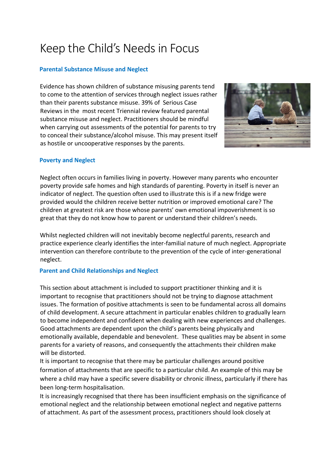## Keep the Child's Needs in Focus

## **Parental Substance Misuse and Neglect**

Evidence has shown children of substance misusing parents tend to come to the attention of services through neglect issues rather than their parents substance misuse. 39% of Serious Case Reviews in the most recent Triennial review featured parental substance misuse and neglect. Practitioners should be mindful when carrying out assessments of the potential for parents to try to conceal their substance/alcohol misuse. This may present itself as hostile or uncooperative responses by the parents.



### **Poverty and Neglect**

Neglect often occurs in families living in poverty. However many parents who encounter poverty provide safe homes and high standards of parenting. Poverty in itself is never an indicator of neglect. The question often used to illustrate this is if a new fridge were provided would the children receive better nutrition or improved emotional care? The children at greatest risk are those whose parents' own emotional impoverishment is so great that they do not know how to parent or understand their children's needs.

Whilst neglected children will not inevitably become neglectful parents, research and practice experience clearly identifies the inter-familial nature of much neglect. Appropriate intervention can therefore contribute to the prevention of the cycle of inter-generational neglect.

#### **Parent and Child Relationships and Neglect**

This section about attachment is included to support practitioner thinking and it is important to recognise that practitioners should not be trying to diagnose attachment issues. The formation of positive attachments is seen to be fundamental across all domains of child development. A secure attachment in particular enables children to gradually learn to become independent and confident when dealing with new experiences and challenges. Good attachments are dependent upon the child's parents being physically and emotionally available, dependable and benevolent. These qualities may be absent in some parents for a variety of reasons, and consequently the attachments their children make will be distorted.

It is important to recognise that there may be particular challenges around positive formation of attachments that are specific to a particular child. An example of this may be where a child may have a specific severe disability or chronic illness, particularly if there has been long-term hospitalisation.

It is increasingly recognised that there has been insufficient emphasis on the significance of emotional neglect and the relationship between emotional neglect and negative patterns of attachment. As part of the assessment process, practitioners should look closely at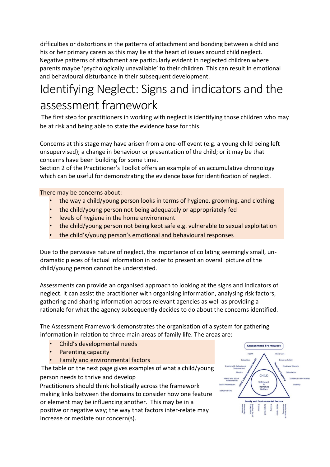difficulties or distortions in the patterns of attachment and bonding between a child and his or her primary carers as this may lie at the heart of issues around child neglect. Negative patterns of attachment are particularly evident in neglected children where parents maybe 'psychologically unavailable' to their children. This can result in emotional and behavioural disturbance in their subsequent development.

## Identifying Neglect: Signs and indicators and the assessment framework

The first step for practitioners in working with neglect is identifying those children who may be at risk and being able to state the evidence base for this.

Concerns at this stage may have arisen from a one-off event (e.g. a young child being left unsupervised); a change in behaviour or presentation of the child; or it may be that concerns have been building for some time.

Section 2 of the Practitioner's Toolkit offers an example of an accumulative chronology which can be useful for demonstrating the evidence base for identification of neglect.

There may be concerns about:

- the way a child/young person looks in terms of hygiene, grooming, and clothing
- the child/young person not being adequately or appropriately fed
- levels of hygiene in the home environment
- the child/young person not being kept safe e.g. vulnerable to sexual exploitation
- the child's/young person's emotional and behavioural responses

Due to the pervasive nature of neglect, the importance of collating seemingly small, undramatic pieces of factual information in order to present an overall picture of the child/young person cannot be understated.

Assessments can provide an organised approach to looking at the signs and indicators of neglect. It can assist the practitioner with organising information, analysing risk factors, gathering and sharing information across relevant agencies as well as providing a rationale for what the agency subsequently decides to do about the concerns identified.

The Assessment Framework demonstrates the organisation of a system for gathering information in relation to three main areas of family life. The areas are:

- Child's developmental needs
- Parenting capacity
- Family and environmental factors

The table on the next page gives examples of what a child/young person needs to thrive and develop

Practitioners should think holistically across the framework making links between the domains to consider how one feature or element may be influencing another. This may be in a positive or negative way; the way that factors inter-relate may increase or mediate our concern(s).

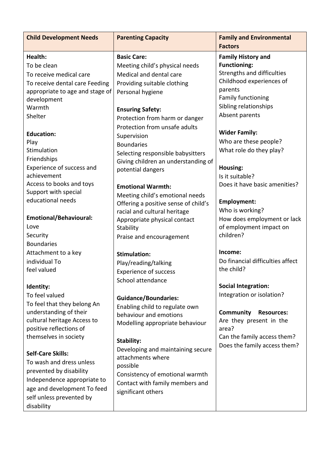| <b>Child Development Needs</b>                                                                                                                                                                                                                                                                | <b>Parenting Capacity</b>                                                                                                                                                                                                                                                                                                                                                                         | <b>Family and Environmental</b><br><b>Factors</b>                                                                                                                                                                                                                                                                                         |
|-----------------------------------------------------------------------------------------------------------------------------------------------------------------------------------------------------------------------------------------------------------------------------------------------|---------------------------------------------------------------------------------------------------------------------------------------------------------------------------------------------------------------------------------------------------------------------------------------------------------------------------------------------------------------------------------------------------|-------------------------------------------------------------------------------------------------------------------------------------------------------------------------------------------------------------------------------------------------------------------------------------------------------------------------------------------|
| Health:<br>To be clean<br>To receive medical care<br>To receive dental care Feeding<br>appropriate to age and stage of<br>development<br>Warmth<br>Shelter<br><b>Education:</b><br>Play<br>Stimulation<br>Friendships<br>Experience of success and<br>achievement<br>Access to books and toys | <b>Basic Care:</b><br>Meeting child's physical needs<br>Medical and dental care<br>Providing suitable clothing<br>Personal hygiene<br><b>Ensuring Safety:</b><br>Protection from harm or danger<br>Protection from unsafe adults<br>Supervision<br><b>Boundaries</b><br>Selecting responsible babysitters<br>Giving children an understanding of<br>potential dangers<br><b>Emotional Warmth:</b> | <b>Family History and</b><br><b>Functioning:</b><br>Strengths and difficulties<br>Childhood experiences of<br>parents<br><b>Family functioning</b><br>Sibling relationships<br>Absent parents<br><b>Wider Family:</b><br>Who are these people?<br>What role do they play?<br>Housing:<br>Is it suitable?<br>Does it have basic amenities? |
| Support with special<br>educational needs                                                                                                                                                                                                                                                     | Meeting child's emotional needs<br>Offering a positive sense of child's<br>racial and cultural heritage                                                                                                                                                                                                                                                                                           | Employment:<br>Who is working?                                                                                                                                                                                                                                                                                                            |
| <b>Emotional/Behavioural:</b><br>Love<br>Security                                                                                                                                                                                                                                             | Appropriate physical contact<br>Stability<br>Praise and encouragement                                                                                                                                                                                                                                                                                                                             | How does employment or lack<br>of employment impact on<br>children?                                                                                                                                                                                                                                                                       |
| <b>Boundaries</b><br>Attachment to a key<br>individual To<br>feel valued<br>Identity:                                                                                                                                                                                                         | <b>Stimulation:</b><br>Play/reading/talking<br><b>Experience of success</b><br>School attendance                                                                                                                                                                                                                                                                                                  | Income:<br>Do financial difficulties affect<br>the child?<br><b>Social Integration:</b>                                                                                                                                                                                                                                                   |
| To feel valued<br>To feel that they belong An<br>understanding of their<br>cultural heritage Access to<br>positive reflections of<br>themselves in society                                                                                                                                    | <b>Guidance/Boundaries:</b><br>Enabling child to regulate own<br>behaviour and emotions<br>Modelling appropriate behaviour<br>Stability:                                                                                                                                                                                                                                                          | Integration or isolation?<br>Community<br><b>Resources:</b><br>Are they present in the<br>area?<br>Can the family access them?<br>Does the family access them?                                                                                                                                                                            |
| <b>Self-Care Skills:</b><br>To wash and dress unless<br>prevented by disability<br>Independence appropriate to<br>age and development To feed<br>self unless prevented by<br>disability                                                                                                       | Developing and maintaining secure<br>attachments where<br>possible<br>Consistency of emotional warmth<br>Contact with family members and<br>significant others                                                                                                                                                                                                                                    |                                                                                                                                                                                                                                                                                                                                           |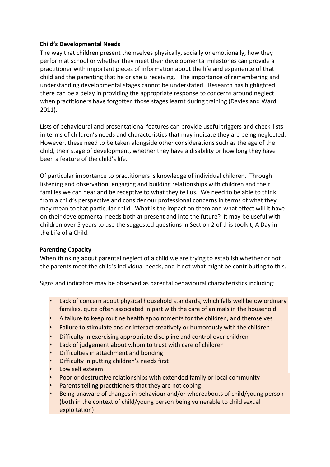### **Child's Developmental Needs**

The way that children present themselves physically, socially or emotionally, how they perform at school or whether they meet their developmental milestones can provide a practitioner with important pieces of information about the life and experience of that child and the parenting that he or she is receiving. The importance of remembering and understanding developmental stages cannot be understated. Research has highlighted there can be a delay in providing the appropriate response to concerns around neglect when practitioners have forgotten those stages learnt during training (Davies and Ward, 2011).

Lists of behavioural and presentational features can provide useful triggers and check-lists in terms of children's needs and characteristics that may indicate they are being neglected. However, these need to be taken alongside other considerations such as the age of the child, their stage of development, whether they have a disability or how long they have been a feature of the child's life.

Of particular importance to practitioners is knowledge of individual children. Through listening and observation, engaging and building relationships with children and their families we can hear and be receptive to what they tell us. We need to be able to think from a child's perspective and consider our professional concerns in terms of what they may mean to that particular child. What is the impact on them and what effect will it have on their developmental needs both at present and into the future? It may be useful with children over 5 years to use the suggested questions in Section 2 of this toolkit, A Day in the Life of a Child.

## **Parenting Capacity**

When thinking about parental neglect of a child we are trying to establish whether or not the parents meet the child's individual needs, and if not what might be contributing to this.

Signs and indicators may be observed as parental behavioural characteristics including:

- Lack of concern about physical household standards, which falls well below ordinary families, quite often associated in part with the care of animals in the household
- A failure to keep routine health appointments for the children, and themselves
- Failure to stimulate and or interact creatively or humorously with the children
- Difficulty in exercising appropriate discipline and control over children
- Lack of judgement about whom to trust with care of children
- Difficulties in attachment and bonding
- Difficulty in putting children's needs first
- Low self esteem
- Poor or destructive relationships with extended family or local community
- Parents telling practitioners that they are not coping
- Being unaware of changes in behaviour and/or whereabouts of child/young person (both in the context of child/young person being vulnerable to child sexual exploitation)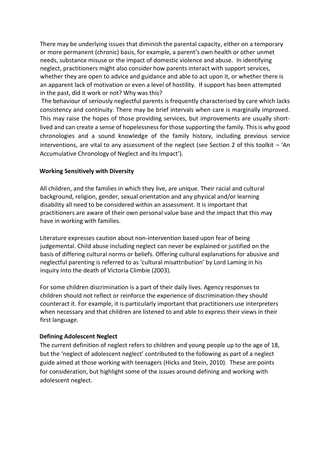There may be underlying issues that diminish the parental capacity, either on a temporary or more permanent (chronic) basis, for example, a parent's own health or other unmet needs, substance misuse or the impact of domestic violence and abuse. In identifying neglect, practitioners might also consider how parents interact with support services, whether they are open to advice and guidance and able to act upon it, or whether there is an apparent lack of motivation or even a level of hostility. If support has been attempted in the past, did it work or not? Why was this?

The behaviour of seriously neglectful parents is frequently characterised by care which lacks consistency and continuity. There may be brief intervals when care is marginally improved. This may raise the hopes of those providing services, but improvements are usually shortlived and can create a sense of hopelessness for those supporting the family. This is why good chronologies and a sound knowledge of the family history, including previous service interventions, are vital to any assessment of the neglect (see Section 2 of this toolkit  $-$  'An Accumulative Chronology of Neglect and its Impact').

#### **Working Sensitively with Diversity**

All children, and the families in which they live, are unique. Their racial and cultural background, religion, gender, sexual orientation and any physical and/or learning disability all need to be considered within an assessment. It is important that practitioners are aware of their own personal value base and the impact that this may have in working with families.

Literature expresses caution about non-intervention based upon fear of being judgemental. Child abuse including neglect can never be explained or justified on the basis of differing cultural norms or beliefs. Offering cultural explanations for abusive and neglectful parenting is referred to as 'cultural misattribution' by Lord Laming in his inquiry into the death of Victoria Climbie (2003).

For some children discrimination is a part of their daily lives. Agency responses to children should not reflect or reinforce the experience of discrimination-they should counteract it. For example, it is particularly important that practitioners use interpreters when necessary and that children are listened to and able to express their views in their first language.

#### **Defining Adolescent Neglect**

The current definition of neglect refers to children and young people up to the age of 18, but the 'neglect of adolescent neglect' contributed to the following as part of a neglect guide aimed at those working with teenagers (Hicks and Stein, 2010). These are points for consideration, but highlight some of the issues around defining and working with adolescent neglect.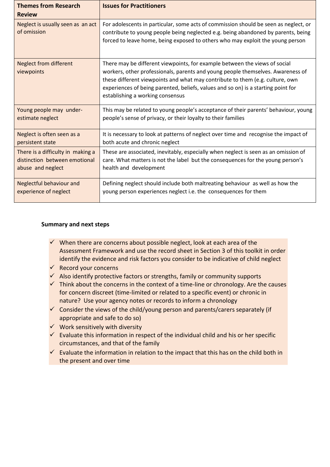| <b>Themes from Research</b><br><b>Review</b>     | <b>Issues for Practitioners</b>                                                                                                                                                                                                                                                                                                                                         |
|--------------------------------------------------|-------------------------------------------------------------------------------------------------------------------------------------------------------------------------------------------------------------------------------------------------------------------------------------------------------------------------------------------------------------------------|
| Neglect is usually seen as an act<br>of omission | For adolescents in particular, some acts of commission should be seen as neglect, or<br>contribute to young people being neglected e.g. being abandoned by parents, being<br>forced to leave home, being exposed to others who may exploit the young person                                                                                                             |
| <b>Neglect from different</b><br>viewpoints      | There may be different viewpoints, for example between the views of social<br>workers, other professionals, parents and young people themselves. Awareness of<br>these different viewpoints and what may contribute to them (e.g. culture, own<br>experiences of being parented, beliefs, values and so on) is a starting point for<br>establishing a working consensus |
| Young people may under-                          | This may be related to young people's acceptance of their parents' behaviour, young                                                                                                                                                                                                                                                                                     |
| estimate neglect                                 | people's sense of privacy, or their loyalty to their families                                                                                                                                                                                                                                                                                                           |
| Neglect is often seen as a                       | It is necessary to look at patterns of neglect over time and recognise the impact of                                                                                                                                                                                                                                                                                    |
| persistent state                                 | both acute and chronic neglect                                                                                                                                                                                                                                                                                                                                          |
| There is a difficulty in making a                | These are associated, inevitably, especially when neglect is seen as an omission of                                                                                                                                                                                                                                                                                     |
| distinction between emotional                    | care. What matters is not the label but the consequences for the young person's                                                                                                                                                                                                                                                                                         |
| abuse and neglect                                | health and development                                                                                                                                                                                                                                                                                                                                                  |
| <b>Neglectful behaviour and</b>                  | Defining neglect should include both maltreating behaviour as well as how the                                                                                                                                                                                                                                                                                           |
| experience of neglect                            | young person experiences neglect i.e. the consequences for them                                                                                                                                                                                                                                                                                                         |

### **Summary and next steps**

- $\checkmark$  When there are concerns about possible neglect, look at each area of the Assessment Framework and use the record sheet in Section 3 of this toolkit in order identify the evidence and risk factors you consider to be indicative of child neglect
- $\checkmark$  Record your concerns
- $\checkmark$  Also identify protective factors or strengths, family or community supports
- $\checkmark$  Think about the concerns in the context of a time-line or chronology. Are the causes for concern discreet (time-limited or related to a specific event) or chronic in nature? Use your agency notes or records to inform a chronology
- $\checkmark$  Consider the views of the child/young person and parents/carers separately (if appropriate and safe to do so)
- ✓ Work sensitively with diversity
- $\checkmark$  Evaluate this information in respect of the individual child and his or her specific circumstances, and that of the family
- $\checkmark$  Evaluate the information in relation to the impact that this has on the child both in the present and over time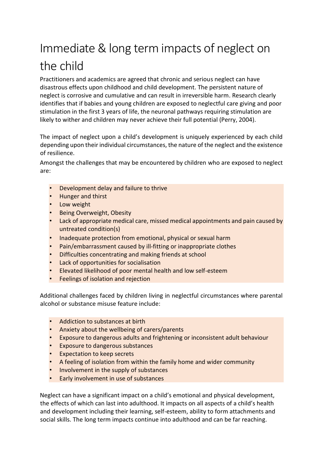# Immediate & long term impacts of neglect on the child

Practitioners and academics are agreed that chronic and serious neglect can have disastrous effects upon childhood and child development. The persistent nature of neglect is corrosive and cumulative and can result in irreversible harm. Research clearly identifies that if babies and young children are exposed to neglectful care giving and poor stimulation in the first 3 years of life, the neuronal pathways requiring stimulation are likely to wither and children may never achieve their full potential (Perry, 2004).

The impact of neglect upon a child's development is uniquely experienced by each child depending upon their individual circumstances, the nature of the neglect and the existence of resilience.

Amongst the challenges that may be encountered by children who are exposed to neglect are:

- Development delay and failure to thrive
- Hunger and thirst
- Low weight
- Being Overweight, Obesity
- Lack of appropriate medical care, missed medical appointments and pain caused by untreated condition(s)
- Inadequate protection from emotional, physical or sexual harm
- Pain/embarrassment caused by ill-fitting or inappropriate clothes
- Difficulties concentrating and making friends at school
- Lack of opportunities for socialisation
- Elevated likelihood of poor mental health and low self-esteem
- Feelings of isolation and rejection

Additional challenges faced by children living in neglectful circumstances where parental alcohol or substance misuse feature include:

- Addiction to substances at birth
- Anxiety about the wellbeing of carers/parents
- Exposure to dangerous adults and frightening or inconsistent adult behaviour
- Exposure to dangerous substances
- Expectation to keep secrets
- A feeling of isolation from within the family home and wider community
- Involvement in the supply of substances
- Early involvement in use of substances

Neglect can have a significant impact on a child's emotional and physical development, the effects of which can last into adulthood. It impacts on all aspects of a child's health and development including their learning, self-esteem, ability to form attachments and social skills. The long term impacts continue into adulthood and can be far reaching.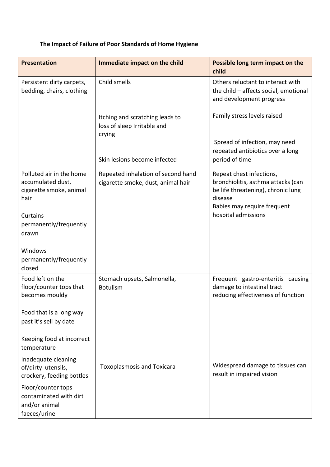## **The Impact of Failure of Poor Standards of Home Hygiene**

| <b>Presentation</b>                                                                | Immediate impact on the child                                            | Possible long term impact on the<br>child                                                                       |
|------------------------------------------------------------------------------------|--------------------------------------------------------------------------|-----------------------------------------------------------------------------------------------------------------|
| Persistent dirty carpets,<br>bedding, chairs, clothing                             | Child smells                                                             | Others reluctant to interact with<br>the child - affects social, emotional<br>and development progress          |
|                                                                                    | Itching and scratching leads to<br>loss of sleep Irritable and<br>crying | Family stress levels raised                                                                                     |
|                                                                                    | Skin lesions become infected                                             | Spread of infection, may need<br>repeated antibiotics over a long<br>period of time                             |
| Polluted air in the home -<br>accumulated dust,<br>cigarette smoke, animal<br>hair | Repeated inhalation of second hand<br>cigarette smoke, dust, animal hair | Repeat chest infections,<br>bronchiolitis, asthma attacks (can<br>be life threatening), chronic lung<br>disease |
| Curtains<br>permanently/frequently<br>drawn                                        |                                                                          | Babies may require frequent<br>hospital admissions                                                              |
| Windows<br>permanently/frequently<br>closed                                        |                                                                          |                                                                                                                 |
| Food left on the<br>floor/counter tops that<br>becomes mouldy                      | Stomach upsets, Salmonella,<br><b>Botulism</b>                           | Frequent gastro-enteritis causing<br>damage to intestinal tract<br>reducing effectiveness of function           |
| Food that is a long way<br>past it's sell by date                                  |                                                                          |                                                                                                                 |
| Keeping food at incorrect<br>temperature                                           |                                                                          |                                                                                                                 |
| Inadequate cleaning<br>of/dirty utensils,<br>crockery, feeding bottles             | <b>Toxoplasmosis and Toxicara</b>                                        | Widespread damage to tissues can<br>result in impaired vision                                                   |
| Floor/counter tops<br>contaminated with dirt<br>and/or animal<br>faeces/urine      |                                                                          |                                                                                                                 |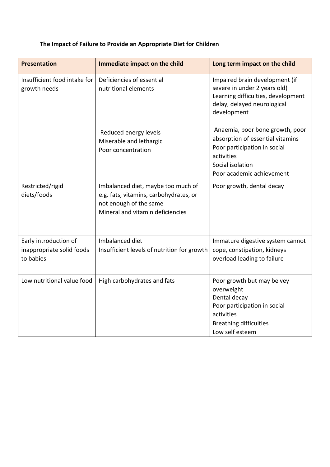| <b>Presentation</b>                                             | Immediate impact on the child                                                                                                              | Long term impact on the child                                                                                                                                      |
|-----------------------------------------------------------------|--------------------------------------------------------------------------------------------------------------------------------------------|--------------------------------------------------------------------------------------------------------------------------------------------------------------------|
| Insufficient food intake for<br>growth needs                    | Deficiencies of essential<br>nutritional elements                                                                                          | Impaired brain development (if<br>severe in under 2 years old)<br>Learning difficulties, development<br>delay, delayed neurological<br>development                 |
|                                                                 | Reduced energy levels<br>Miserable and lethargic<br>Poor concentration                                                                     | Anaemia, poor bone growth, poor<br>absorption of essential vitamins<br>Poor participation in social<br>activities<br>Social isolation<br>Poor academic achievement |
| Restricted/rigid<br>diets/foods                                 | Imbalanced diet, maybe too much of<br>e.g. fats, vitamins, carbohydrates, or<br>not enough of the same<br>Mineral and vitamin deficiencies | Poor growth, dental decay                                                                                                                                          |
| Early introduction of<br>inappropriate solid foods<br>to babies | Imbalanced diet<br>Insufficient levels of nutrition for growth                                                                             | Immature digestive system cannot<br>cope, constipation, kidneys<br>overload leading to failure                                                                     |
| Low nutritional value food                                      | High carbohydrates and fats                                                                                                                | Poor growth but may be vey<br>overweight<br>Dental decay<br>Poor participation in social<br>activities<br><b>Breathing difficulties</b><br>Low self esteem         |

## **The Impact of Failure to Provide an Appropriate Diet for Children**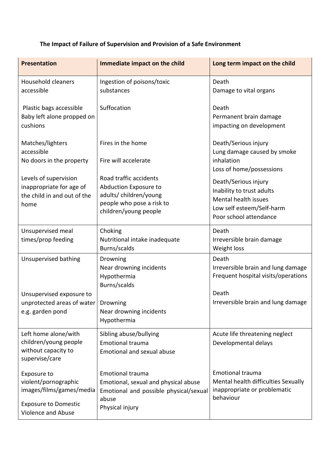## **The Impact of Failure of Supervision and Provision of a Safe Environment**

| <b>Presentation</b>                                                                                                  | Immediate impact on the child                                                                                                         | Long term impact on the child                                                                                                                                |
|----------------------------------------------------------------------------------------------------------------------|---------------------------------------------------------------------------------------------------------------------------------------|--------------------------------------------------------------------------------------------------------------------------------------------------------------|
| <b>Household cleaners</b><br>accessible                                                                              | Ingestion of poisons/toxic<br>substances                                                                                              | Death<br>Damage to vital organs                                                                                                                              |
| Plastic bags accessible<br>Baby left alone propped on<br>cushions                                                    | Suffocation                                                                                                                           | Death<br>Permanent brain damage<br>impacting on development                                                                                                  |
| Matches/lighters<br>accessible<br>No doors in the property                                                           | Fires in the home<br>Fire will accelerate                                                                                             | Death/Serious injury<br>Lung damage caused by smoke<br>inhalation                                                                                            |
| Levels of supervision<br>inappropriate for age of<br>the child in and out of the<br>home                             | Road traffic accidents<br>Abduction Exposure to<br>adults/children/young<br>people who pose a risk to<br>children/young people        | Loss of home/possessions<br>Death/Serious injury<br>Inability to trust adults<br>Mental health issues<br>Low self esteem/Self-harm<br>Poor school attendance |
| Unsupervised meal<br>times/prop feeding                                                                              | Choking<br>Nutritional intake inadequate<br>Burns/scalds                                                                              | Death<br>Irreversible brain damage<br>Weight loss                                                                                                            |
| Unsupervised bathing                                                                                                 | Drowning<br>Near drowning incidents<br>Hypothermia<br>Burns/scalds                                                                    | Death<br>Irreversible brain and lung damage<br>Frequent hospital visits/operations<br>Death                                                                  |
| Unsupervised exposure to<br>unprotected areas of water   Drowning<br>e.g. garden pond                                | Near drowning incidents<br>Hypothermia                                                                                                | Irreversible brain and lung damage                                                                                                                           |
| Left home alone/with<br>children/young people<br>without capacity to<br>supervise/care                               | Sibling abuse/bullying<br><b>Emotional trauma</b><br><b>Emotional and sexual abuse</b>                                                | Acute life threatening neglect<br>Developmental delays                                                                                                       |
| Exposure to<br>violent/pornographic<br>images/films/games/media<br><b>Exposure to Domestic</b><br>Violence and Abuse | <b>Emotional trauma</b><br>Emotional, sexual and physical abuse<br>Emotional and possible physical/sexual<br>abuse<br>Physical injury | <b>Emotional trauma</b><br>Mental health difficulties Sexually<br>inappropriate or problematic<br>behaviour                                                  |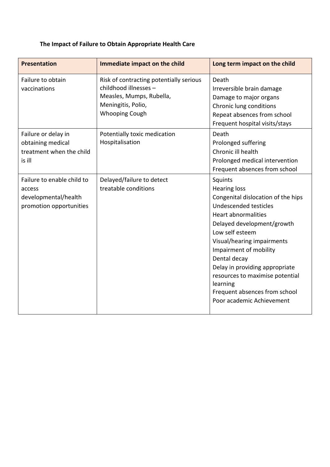## **The Impact of Failure to Obtain Appropriate Health Care**

| <b>Presentation</b>                                                                     | Immediate impact on the child                                                                                                               | Long term impact on the child                                                                                                                                                                                                                                                                                                                                                                       |
|-----------------------------------------------------------------------------------------|---------------------------------------------------------------------------------------------------------------------------------------------|-----------------------------------------------------------------------------------------------------------------------------------------------------------------------------------------------------------------------------------------------------------------------------------------------------------------------------------------------------------------------------------------------------|
| Failure to obtain<br>vaccinations                                                       | Risk of contracting potentially serious<br>childhood illnesses -<br>Measles, Mumps, Rubella,<br>Meningitis, Polio,<br><b>Whooping Cough</b> | Death<br>Irreversible brain damage<br>Damage to major organs<br>Chronic lung conditions<br>Repeat absences from school<br>Frequent hospital visits/stays                                                                                                                                                                                                                                            |
| Failure or delay in<br>obtaining medical<br>treatment when the child<br>is ill          | Potentially toxic medication<br>Hospitalisation                                                                                             | Death<br>Prolonged suffering<br>Chronic ill health<br>Prolonged medical intervention<br>Frequent absences from school                                                                                                                                                                                                                                                                               |
| Failure to enable child to<br>access<br>developmental/health<br>promotion opportunities | Delayed/failure to detect<br>treatable conditions                                                                                           | Squints<br><b>Hearing loss</b><br>Congenital dislocation of the hips<br>Undescended testicles<br><b>Heart abnormalities</b><br>Delayed development/growth<br>Low self esteem<br>Visual/hearing impairments<br>Impairment of mobility<br>Dental decay<br>Delay in providing appropriate<br>resources to maximise potential<br>learning<br>Frequent absences from school<br>Poor academic Achievement |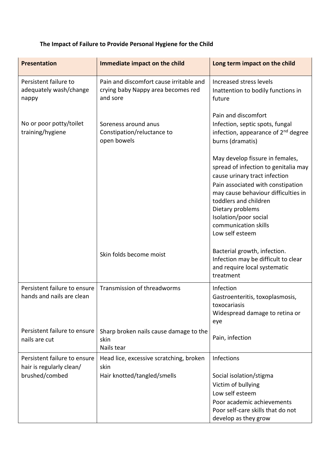## **The Impact of Failure to Provide Personal Hygiene for the Child**

| <b>Presentation</b>                                       | Immediate impact on the child                                                             | Long term impact on the child                                                                                                                                                                                                                                                                         |
|-----------------------------------------------------------|-------------------------------------------------------------------------------------------|-------------------------------------------------------------------------------------------------------------------------------------------------------------------------------------------------------------------------------------------------------------------------------------------------------|
| Persistent failure to<br>adequately wash/change<br>nappy  | Pain and discomfort cause irritable and<br>crying baby Nappy area becomes red<br>and sore | Increased stress levels<br>Inattention to bodily functions in<br>future                                                                                                                                                                                                                               |
| No or poor potty/toilet<br>training/hygiene               | Soreness around anus<br>Constipation/reluctance to<br>open bowels                         | Pain and discomfort<br>Infection, septic spots, fungal<br>infection, appearance of 2 <sup>nd</sup> degree<br>burns (dramatis)                                                                                                                                                                         |
|                                                           |                                                                                           | May develop fissure in females,<br>spread of infection to genitalia may<br>cause urinary tract infection<br>Pain associated with constipation<br>may cause behaviour difficulties in<br>toddlers and children<br>Dietary problems<br>Isolation/poor social<br>communication skills<br>Low self esteem |
|                                                           | Skin folds become moist                                                                   | Bacterial growth, infection.<br>Infection may be difficult to clear<br>and require local systematic<br>treatment                                                                                                                                                                                      |
| Persistent failure to ensure<br>hands and nails are clean | Transmission of threadworms                                                               | Infection<br>Gastroenteritis, toxoplasmosis,<br>toxocariasis<br>Widespread damage to retina or<br>eye                                                                                                                                                                                                 |
| Persistent failure to ensure<br>nails are cut             | Sharp broken nails cause damage to the<br>skin<br>Nails tear                              | Pain, infection                                                                                                                                                                                                                                                                                       |
| Persistent failure to ensure<br>hair is regularly clean/  | Head lice, excessive scratching, broken<br>skin                                           | Infections                                                                                                                                                                                                                                                                                            |
| brushed/combed                                            | Hair knotted/tangled/smells                                                               | Social isolation/stigma<br>Victim of bullying<br>Low self esteem<br>Poor academic achievements<br>Poor self-care skills that do not<br>develop as they grow                                                                                                                                           |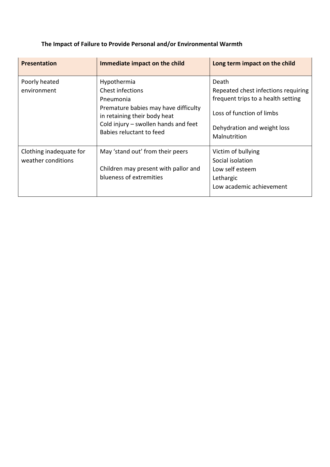| <b>Presentation</b>                           | Immediate impact on the child                                                                                                                                                            | Long term impact on the child                                                                                                                                  |
|-----------------------------------------------|------------------------------------------------------------------------------------------------------------------------------------------------------------------------------------------|----------------------------------------------------------------------------------------------------------------------------------------------------------------|
| Poorly heated<br>environment                  | Hypothermia<br>Chest infections<br>Pneumonia<br>Premature babies may have difficulty<br>in retaining their body heat<br>Cold injury - swollen hands and feet<br>Babies reluctant to feed | Death<br>Repeated chest infections requiring<br>frequent trips to a health setting<br>Loss of function of limbs<br>Dehydration and weight loss<br>Malnutrition |
| Clothing inadequate for<br>weather conditions | May 'stand out' from their peers<br>Children may present with pallor and<br>blueness of extremities                                                                                      | Victim of bullying<br>Social isolation<br>Low self esteem<br>Lethargic<br>Low academic achievement                                                             |

## **The Impact of Failure to Provide Personal and/or Environmental Warmth**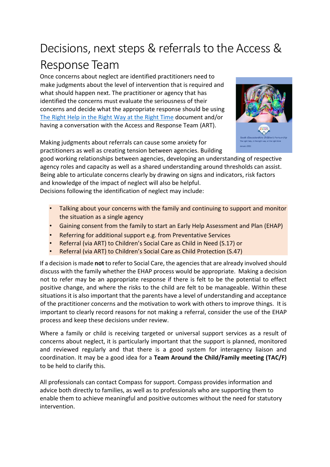## Decisions, next steps & referrals to the Access & Response Team

Once concerns about neglect are identified practitioners need to make judgments about the level of intervention that is required and what should happen next. The practitioner or agency that has identified the concerns must evaluate the seriousness of their concerns and decide what the appropriate response should be using [The Right Help in the Right Way at the Right Time](http://sites.southglos.gov.uk/safeguarding/wp-content/uploads/sites/221/2016/08/The-Right-Help-in-the-Right-Way-at-the-Right-Time-January-2021.pdf) documen[t](http://sites.southglos.gov.uk/safeguarding/children/i-am-a-professional/threshold-tool-the-childs-journey/) and/or having a conversation with the Access and Response Team (ART).



Making judgments about referrals can cause some anxiety for practitioners as well as creating tension between agencies. Building

good working relationships between agencies, developing an understanding of respective agency roles and capacity as well as a shared understanding around thresholds can assist. Being able to articulate concerns clearly by drawing on signs and indicators, risk factors and knowledge of the impact of neglect will also be helpful. Decisions following the identification of neglect may include:

- Talking about your concerns with the family and continuing to support and monitor the situation as a single agency
- Gaining consent from the family to start an Early Help Assessment and Plan (EHAP)
- Referring for additional support e.g. from Preventative Services
- Referral (via ART) to Children's Social Care as Child in Need (S.17) or
- Referral (via ART) to Children's Social Care as Child Protection (S.47)

If a decision is made **not** to refer to Social Care, the agencies that are already involved should discuss with the family whether the EHAP process would be appropriate. Making a decision not to refer may be an appropriate response if there is felt to be the potential to effect positive change, and where the risks to the child are felt to be manageable. Within these situations it is also important that the parents have a level of understanding and acceptance of the practitioner concerns and the motivation to work with others to improve things. It is important to clearly record reasons for not making a referral, consider the use of the EHAP process and keep these decisions under review.

Where a family or child is receiving targeted or universal support services as a result of concerns about neglect, it is particularly important that the support is planned, monitored and reviewed regularly and that there is a good system for interagency liaison and coordination. It may be a good idea for a **Team Around the Child/Family meeting (TAC/F)** to be held to clarify this.

All professionals can contact Compass for support. Compass provides information and advice both directly to families, as well as to professionals who are supporting them to enable them to achieve meaningful and positive outcomes without the need for statutory intervention.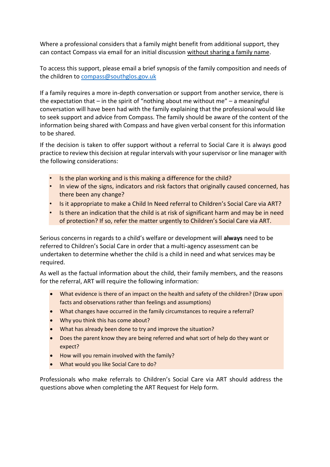Where a professional considers that a family might benefit from additional support, they can contact Compass via email for an initial discussion without sharing a family name.

To access this support, please email a brief synopsis of the family composition and needs of the children to [compass@southglos.gov.uk](mailto:compass@southglos.gov.uk)

If a family requires a more in-depth conversation or support from another service, there is the expectation that  $-$  in the spirit of "nothing about me without me"  $-$  a meaningful conversation will have been had with the family explaining that the professional would like to seek support and advice from Compass. The family should be aware of the content of the information being shared with Compass and have given verbal consent for this information to be shared. Ì

If the decision is taken to offer support without a referral to Social Care it is always good practice to review this decision at regular intervals with your supervisor or line manager with the following considerations:

- Is the plan working and is this making a difference for the child?
- In view of the signs, indicators and risk factors that originally caused concerned, has there been any change?
- Is it appropriate to make a Child In Need referral to Children's Social Care via ART?
- Is there an indication that the child is at risk of significant harm and may be in need of protection? If so, refer the matter urgently to Children's Social Care via ART.

Serious concerns in regards to a child's welfare or development will **always** need to be referred to Children's Social Care in order that a multi-agency assessment can be undertaken to determine whether the child is a child in need and what services may be required.

As well as the factual information about the child, their family members, and the reasons for the referral, ART will require the following information: j

- What evidence is there of an impact on the health and safety of the children? (Draw upon facts and observations rather than feelings and assumptions)
- What changes have occurred in the family circumstances to require a referral?
- Why you think this has come about?
- What has already been done to try and improve the situation?
- Does the parent know they are being referred and what sort of help do they want or expect?
- How will you remain involved with the family?
- What would you like Social Care to do?

Professionals who make referrals to Children's Social Care via ART should address the questions above when completing the ART Request for Help form.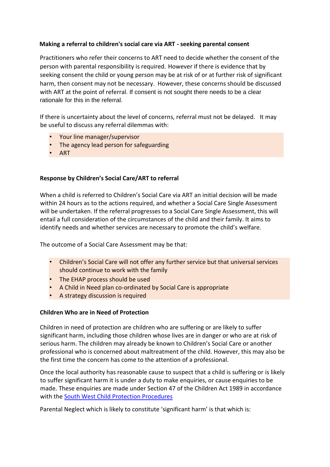## **Making a referral to children's social care via ART - seeking parental consent**

Practitioners who refer their concerns to ART need to decide whether the consent of the person with parental responsibility is required. However if there is evidence that by seeking consent the child or young person may be at risk of or at further risk of significant harm, then consent may not be necessary. However, these concerns should be discussed with ART at the point of referral. If consent is not sought there needs to be a clear rationale for this in the referral.

If there is uncertainty about the level of concerns, referral must not be delayed. It may be useful to discuss any referral dilemmas with:

- Your line manager/supervisor
- The agency lead person for safeguarding
- ART

### **Response by Children's Social Care/ART to referral**

When a child is referred to Children's Social Care via ART an initial decision will be made within 24 hours as to the actions required, and whether a Social Care Single Assessment will be undertaken. If the referral progresses to a Social Care Single Assessment, this will entail a full consideration of the circumstances of the child and their family. It aims to identify needs and whether services are necessary to promote the child's welfare.

The outcome of a Social Care Assessment may be that:

- Children's Social Care will not offer any further service but that universal services should continue to work with the family
- The EHAP process should be used
- A Child in Need plan co-ordinated by Social Care is appropriate
- A strategy discussion is required

#### **Children Who are in Need of Protection**

Children in need of protection are children who are suffering or are likely to suffer significant harm, including those children whose lives are in danger or who are at risk of serious harm. The children may already be known to Children's Social Care or another professional who is concerned about maltreatment of the child. However, this may also be the first time the concern has come to the attention of a professional.

Once the local authority has reasonable cause to suspect that a child is suffering or is likely to suffer significant harm it is under a duty to make enquiries, or cause enquiries to be made. These enquiries are made under Section 47 of the Children Act 1989 in accordance with the [South West Child Protection Procedures](http://www.swcpp.org.uk/)

Parental Neglect which is likely to constitute 'significant harm' is that which is: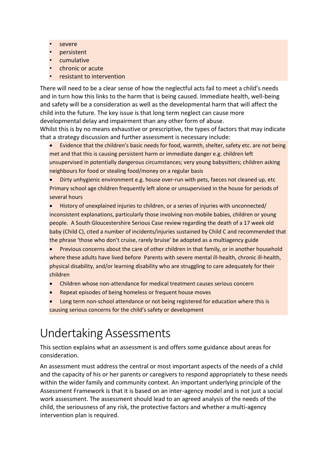- severe
- persistent
- cumulative
- chronic or acute
- resistant to intervention

There will need to be a clear sense of how the neglectful acts fail to meet a child's needs and in turn how this links to the harm that is being caused. Immediate health, well-being and safety will be a consideration as well as the developmental harm that will affect the child into the future. The key issue is that long term neglect can cause more developmental delay and impairment than any other form of abuse.

Whilst this is by no means exhaustive or prescriptive, the types of factors that may indicate that a strategy discussion and further assessment is necessary include:

Evidence that the children's basic needs for food, warmth, shelter, safety etc. are not being met and that this is causing persistent harm or immediate danger e.g. children left unsupervised in potentially dangerous circumstances; very young babysitters; children asking neighbours for food or stealing food/money on a regular basis

• Dirty unhygienic environment e.g. house over-run with pets, faeces not cleaned up, etc Primary school age children frequently left alone or unsupervised in the house for periods of several hours

• History of unexplained injuries to children, or a series of injuries with unconnected/ inconsistent explanations, particularly those involving non-mobile babies, children or young people. A South Gloucestershire Serious Case review regarding the death of a 17 week old baby (Child C), cited a number of incidents/injuries sustained by Child C and recommended that the phrase 'those who don't cruise, rarely bruise' be adopted as a multiagency guide

Previous concerns about the care of other children in that family, or in another household where these adults have lived before Parents with severe mental ill-health, chronic ill-health, physical disability, and/or learning disability who are struggling to care adequately for their children

- Children whose non-attendance for medical treatment causes serious concern
- Repeat episodes of being homeless or frequent house moves
- Long term non-school attendance or not being registered for education where this is causing serious concerns for the child's safety or development

## Undertaking Assessments

This section explains what an assessment is and offers some guidance about areas for consideration.

An assessment must address the central or most important aspects of the needs of a child and the capacity of his or her parents or caregivers to respond appropriately to these needs within the wider family and community context. An important underlying principle of the Assessment Framework is that it is based on an inter-agency model and is not just a social work assessment. The assessment should lead to an agreed analysis of the needs of the child, the seriousness of any risk, the protective factors and whether a multi-agency intervention plan is required.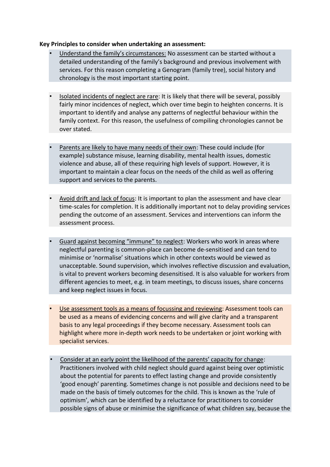#### **Key Principles to consider when undertaking an assessment:**

- Understand the family's circumstances: No assessment can be started without a detailed understanding of the family's background and previous involvement with services. For this reason completing a Genogram (family tree), social history and chronology is the most important starting point.
- Isolated incidents of neglect are rare: It is likely that there will be several, possibly fairly minor incidences of neglect, which over time begin to heighten concerns. It is important to identify and analyse any patterns of neglectful behaviour within the family context. For this reason, the usefulness of compiling chronologies cannot be over stated.
- Parents are likely to have many needs of their own: These could include (for example) substance misuse, learning disability, mental health issues, domestic violence and abuse, all of these requiring high levels of support. However, it is important to maintain a clear focus on the needs of the child as well as offering support and services to the parents.
- Avoid drift and lack of focus: It is important to plan the assessment and have clear time-scales for completion. It is additionally important not to delay providing services pending the outcome of an assessment. Services and interventions can inform the assessment process.
- Guard against becoming "immune" to neglect: Workers who work in areas where neglectful parenting is common-place can become de-sensitised and can tend to minimise or 'normalise' situations which in other contexts would be viewed as unacceptable. Sound supervision, which involves reflective discussion and evaluation, is vital to prevent workers becoming desensitised. It is also valuable for workers from different agencies to meet, e.g. in team meetings, to discuss issues, share concerns and keep neglect issues in focus.
- Use assessment tools as a means of focussing and reviewing: Assessment tools can be used as a means of evidencing concerns and will give clarity and a transparent basis to any legal proceedings if they become necessary. Assessment tools can highlight where more in-depth work needs to be undertaken or joint working with specialist services.
- Consider at an early point the likelihood of the parents' capacity for change: Practitioners involved with child neglect should guard against being over optimistic about the potential for parents to effect lasting change and provide consistently 'good enough' parenting. Sometimes change is not possible and decisions need to be made on the basis of timely outcomes for the child. This is known as the 'rule of optimism', which can be identified by a reluctance for practitioners to consider possible signs of abuse or minimise the significance of what children say, because the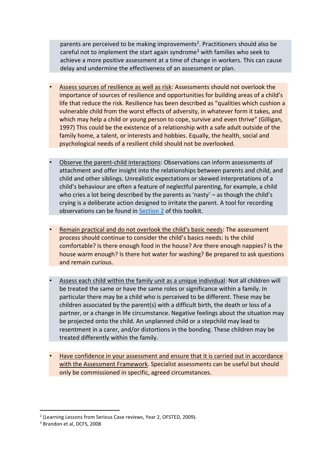parents are perceived to be making improvements<sup>2</sup>. Practitioners should also be careful not to implement the start again syndrome<sup>3</sup> with families who seek to achieve a more positive assessment at a time of change in workers. This can cause delay and undermine the effectiveness of an assessment or plan.

- Assess sources of resilience as well as risk: Assessments should not overlook the importance of sources of resilience and opportunities for building areas of a child's life that reduce the risk. Resilience has been described as "qualities which cushion a vulnerable child from the worst effects of adversity, in whatever form it takes, and which may help a child or young person to cope, survive and even thrive" (Gilligan, 1997) This could be the existence of a relationship with a safe adult outside of the family home, a talent, or interests and hobbies. Equally, the health, social and psychological needs of a resilient child should not be overlooked.
- Observe the parent-child interactions: Observations can inform assessments of attachment and offer insight into the relationships between parents and child, and child and other siblings. Unrealistic expectations or skewed interpretations of a child's behaviour are often a feature of neglectful parenting, for example, a child who cries a lot being described by the parents as 'nasty' – as though the child's crying is a deliberate action designed to irritate the parent. A tool for recording observations can be found in Section 2 of this toolkit.
- Remain practical and do not overlook the child's basic needs: The assessment process should continue to consider the child's basics needs: Is the child comfortable? Is there enough food in the house? Are there enough nappies? Is the house warm enough? Is there hot water for washing? Be prepared to ask questions and remain curious.
- Assess each child within the family unit as a unique individual: Not all children will be treated the same or have the same roles or significance within a family. In particular there may be a child who is perceived to be different. These may be children associated by the parent(s) with a difficult birth, the death or loss of a partner, or a change in life circumstance. Negative feelings about the situation may be projected onto the child. An unplanned child or a stepchild may lead to resentment in a carer, and/or distortions in the bonding. These children may be treated differently within the family.
- Have confidence in your assessment and ensure that it is carried out in accordance with the Assessment Framework. Specialist assessments can be useful but should only be commissioned in specific, agreed circumstances.

<sup>&</sup>lt;sup>2</sup> (Learning Lessons from Serious Case reviews, Year 2, OFSTED, 2009).

<sup>3</sup> Brandon et al, DCFS, 2008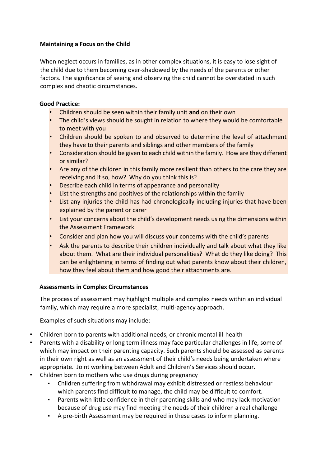## **Maintaining a Focus on the Child**

When neglect occurs in families, as in other complex situations, it is easy to lose sight of the child due to them becoming over-shadowed by the needs of the parents or other factors. The significance of seeing and observing the child cannot be overstated in such complex and chaotic circumstances.

## **Good Practice:**

- Children should be seen within their family unit **and** on their own
- The child's views should be sought in relation to where they would be comfortable to meet with you
- Children should be spoken to and observed to determine the level of attachment they have to their parents and siblings and other members of the family
- Consideration should be given to each child within the family. How are they different or similar?
- Are any of the children in this family more resilient than others to the care they are receiving and if so, how? Why do you think this is?
- Describe each child in terms of appearance and personality
- List the strengths and positives of the relationships within the family
- List any injuries the child has had chronologically including injuries that have been explained by the parent or carer
- List your concerns about the child's development needs using the dimensions within the Assessment Framework
- Consider and plan how you will discuss your concerns with the child's parents
- Ask the parents to describe their children individually and talk about what they like about them. What are their individual personalities? What do they like doing? This can be enlightening in terms of finding out what parents know about their children, how they feel about them and how good their attachments are.

## **Assessments in Complex Circumstances**

The process of assessment may highlight multiple and complex needs within an individual family, which may require a more specialist, multi-agency approach.

Examples of such situations may include:

- Children born to parents with additional needs, or chronic mental ill-health
- Parents with a disability or long term illness may face particular challenges in life, some of which may impact on their parenting capacity. Such parents should be assessed as parents in their own right as well as an assessment of their child's needs being undertaken where appropriate. Joint working between Adult and Children's Services should occur.
- Children born to mothers who use drugs during pregnancy
	- Children suffering from withdrawal may exhibit distressed or restless behaviour which parents find difficult to manage, the child may be difficult to comfort.
	- Parents with little confidence in their parenting skills and who may lack motivation because of drug use may find meeting the needs of their children a real challenge
	- A pre-birth Assessment may be required in these cases to inform planning.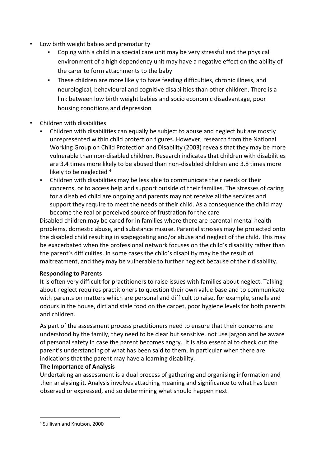- Low birth weight babies and prematurity
	- Coping with a child in a special care unit may be very stressful and the physical environment of a high dependency unit may have a negative effect on the ability of the carer to form attachments to the baby
	- These children are more likely to have feeding difficulties, chronic illness, and neurological, behavioural and cognitive disabilities than other children. There is a link between low birth weight babies and socio economic disadvantage, poor housing conditions and depression
- Children with disabilities
	- Children with disabilities can equally be subject to abuse and neglect but are mostly unrepresented within child protection figures. However, research from the National Working Group on Child Protection and Disability (2003) reveals that they may be more vulnerable than non-disabled children. Research indicates that children with disabilities are 3.4 times more likely to be abused than non-disabled children and 3.8 times more likely to be neglected 4
	- Children with disabilities may be less able to communicate their needs or their concerns, or to access help and support outside of their families. The stresses of caring for a disabled child are ongoing and parents may not receive all the services and support they require to meet the needs of their child. As a consequence the child may become the real or perceived source of frustration for the care

Disabled children may be cared for in families where there are parental mental health problems, domestic abuse, and substance misuse. Parental stresses may be projected onto the disabled child resulting in scapegoating and/or abuse and neglect of the child. This may be exacerbated when the professional network focuses on the child's disability rather than the parent's difficulties. In some cases the child's disability may be the result of maltreatment, and they may be vulnerable to further neglect because of their disability.

## **Responding to Parents**

It is often very difficult for practitioners to raise issues with families about neglect. Talking about neglect requires practitioners to question their own value base and to communicate with parents on matters which are personal and difficult to raise, for example, smells and odours in the house, dirt and stale food on the carpet, poor hygiene levels for both parents and children. Ì

As part of the assessment process practitioners need to ensure that their concerns are understood by the family, they need to be clear but sensitive, not use jargon and be aware of personal safety in case the parent becomes angry. It is also essential to check out the parent's understanding of what has been said to them, in particular when there are indications that the parent may have a learning disability.

## **The Importance of Analysis**

Undertaking an assessment is a dual process of gathering and organising information and then analysing it. Analysis involves attaching meaning and significance to what has been observed or expressed, and so determining what should happen next:

<sup>4</sup> Sullivan and Knutson, 2000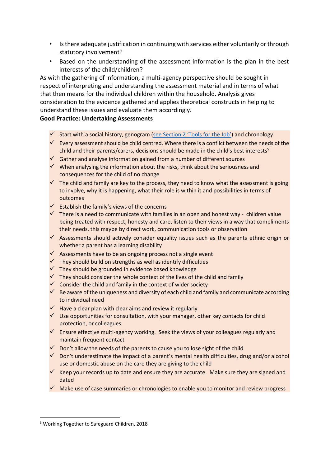- Is there adequate justification in continuing with services either voluntarily or through statutory involvement?
- Based on the understanding of the assessment information is the plan in the best interests of the child/children?

As with the gathering of information, a multi-agency perspective should be sought in respect of interpreting and understanding the assessment material and in terms of what that then means for the individual children within the household. Analysis gives consideration to the evidence gathered and applies theoretical constructs in helping to understand these issues and evaluate them accordingly.

### **Good Practice: Undertaking Assessments**

- $\checkmark$  Start with a social history, genogram (see Section 2 'Tools for the Job') and chronology
- $\checkmark$  Every assessment should be child centred. Where there is a conflict between the needs of the child and their parents/carers, decisions should be made in the child's best interests<sup>5</sup>
- ✓ Gather and analyse information gained from a number of different sources
- $\checkmark$  When analysing the information about the risks, think about the seriousness and consequences for the child of no change
- $\checkmark$  The child and family are key to the process, they need to know what the assessment is going to involve, why it is happening, what their role is within it and possibilities in terms of outcomes
- ✓ Establish the family's views of the concerns
- $\checkmark$  There is a need to communicate with families in an open and honest way children value being treated with respect, honesty and care, listen to their views in a way that compliments their needs, this maybe by direct work, communication tools or observation
- $\checkmark$  Assessments should actively consider equality issues such as the parents ethnic origin or whether a parent has a learning disability
- $\checkmark$  Assessments have to be an ongoing process not a single event
- ✓ They should build on strengths as well as identify difficulties
- $\checkmark$  They should be grounded in evidence based knowledge
- $\checkmark$  They should consider the whole context of the lives of the child and family
- $\checkmark$  Consider the child and family in the context of wider society
- $\checkmark$  Be aware of the uniqueness and diversity of each child and family and communicate according to individual need
- $\checkmark$  Have a clear plan with clear aims and review it regularly
- $\checkmark$  Use opportunities for consultation, with your manager, other key contacts for child protection, or colleagues
- ✓ Ensure effective multi-agency working. Seek the views of your colleagues regularly and maintain frequent contact
- $\checkmark$  Don't allow the needs of the parents to cause you to lose sight of the child
- $\checkmark$  Don't underestimate the impact of a parent's mental health difficulties, drug and/or alcohol use or domestic abuse on the care they are giving to the child
- $\checkmark$  Keep your records up to date and ensure they are accurate. Make sure they are signed and dated
- $\checkmark$  Make use of case summaries or chronologies to enable you to monitor and review progress

<sup>5</sup> Working Together to Safeguard Children, 2018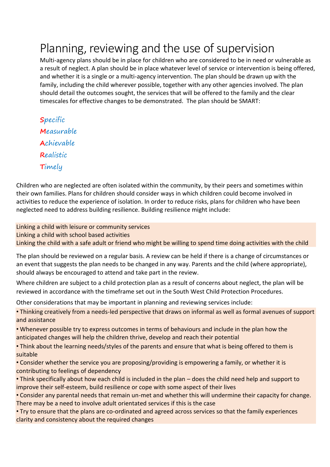## Planning, reviewing and the use of supervision

Multi-agency plans should be in place for children who are considered to be in need or vulnerable as a result of neglect. A plan should be in place whatever level of service or intervention is being offered, and whether it is a single or a multi-agency intervention. The plan should be drawn up with the family, including the child wherever possible, together with any other agencies involved. The plan should detail the outcomes sought, the services that will be offered to the family and the clear timescales for effective changes to be demonstrated. The plan should be SMART:

**S**pecific **M**easurable **A**chievable **R**ealistic **T**imely

Children who are neglected are often isolated within the community, by their peers and sometimes within their own families. Plans for children should consider ways in which children could become involved in activities to reduce the experience of isolation. In order to reduce risks, plans for children who have been neglected need to address building resilience. Building resilience might include:

Linking a child with leisure or community services Linking a child with school based activities Linking the child with a safe adult or friend who might be willing to spend time doing activities with the child

The plan should be reviewed on a regular basis. A review can be held if there is a change of circumstances or an event that suggests the plan needs to be changed in any way. Parents and the child (where appropriate), should always be encouraged to attend and take part in the review.

Where children are subject to a child protection plan as a result of concerns about neglect, the plan will be reviewed in accordance with the timeframe set out in the South West Child Protection Procedures.

Other considerations that may be important in planning and reviewing services include:

• Thinking creatively from a needs-led perspective that draws on informal as well as formal avenues of support and assistance

• Whenever possible try to express outcomes in terms of behaviours and include in the plan how the anticipated changes will help the children thrive, develop and reach their potential

• Think about the learning needs/styles of the parents and ensure that what is being offered to them is suitable

• Consider whether the service you are proposing/providing is empowering a family, or whether it is contributing to feelings of dependency

• Think specifically about how each child is included in the plan – does the child need help and support to improve their self-esteem, build resilience or cope with some aspect of their lives

• Consider any parental needs that remain un-met and whether this will undermine their capacity for change. There may be a need to involve adult orientated services if this is the case

• Try to ensure that the plans are co-ordinated and agreed across services so that the family experiences clarity and consistency about the required changes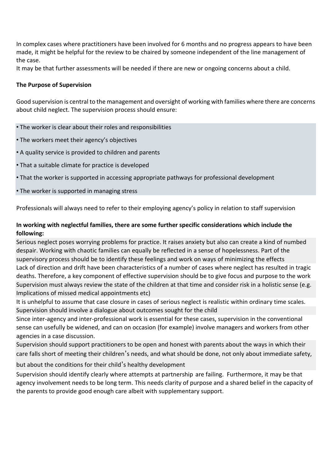In complex cases where practitioners have been involved for 6 months and no progress appears to have been made, it might be helpful for the review to be chaired by someone independent of the line management of the case.

It may be that further assessments will be needed if there are new or ongoing concerns about a child.

#### **The Purpose of Supervision**

Good supervision is central to the management and oversight of working with families where there are concerns about child neglect. The supervision process should ensure:

- The worker is clear about their roles and responsibilities
- The workers meet their agency's objectives
- A quality service is provided to children and parents
- That a suitable climate for practice is developed
- That the worker is supported in accessing appropriate pathways for professional development
- The worker is supported in managing stress

Professionals will always need to refer to their employing agency's policy in relation to staff supervision

## **In working with neglectful families, there are some further specific considerations which include the following:**

Serious neglect poses worrying problems for practice. It raises anxiety but also can create a kind of numbed despair. Working with chaotic families can equally be reflected in a sense of hopelessness. Part of the supervisory process should be to identify these feelings and work on ways of minimizing the effects Lack of direction and drift have been characteristics of a number of cases where neglect has resulted in tragic deaths. Therefore, a key component of effective supervision should be to give focus and purpose to the work Supervision must always review the state of the children at that time and consider risk in a holistic sense (e.g. Implications of missed medical appointments etc)

It is unhelpful to assume that case closure in cases of serious neglect is realistic within ordinary time scales. Supervision should involve a dialogue about outcomes sought for the child

Since inter-agency and inter-professional work is essential for these cases, supervision in the conventional sense can usefully be widened, and can on occasion (for example) involve managers and workers from other agencies in a case discussion.

Supervision should support practitioners to be open and honest with parents about the ways in which their care falls short of meeting their children's needs, and what should be done, not only about immediate safety,

but about the conditions for their child's healthy development

Supervision should identify clearly where attempts at partnership are failing. Furthermore, it may be that agency involvement needs to be long term. This needs clarity of purpose and a shared belief in the capacity of the parents to provide good enough care albeit with supplementary support.